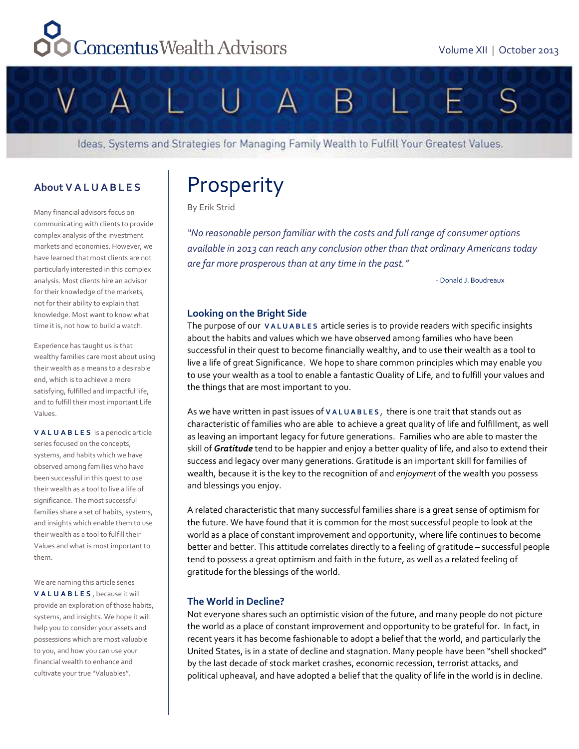# Concentus Wealth Advisors



Ideas, Systems and Strategies for Managing Family Wealth to Fulfill Your Greatest Values.

# **About VALUABLES**

Many financial advisors focus on communicating with clients to provide complex analysis of the investment markets and economies. However, we have learned that most clients are not particularly interested in this complex analysis. Most clients hire an advisor for their knowledge of the markets, not for their ability to explain that knowledge. Most want to know what time it is, not how to build a watch.

Experience has taught us is that wealthy families care most about using their wealth as a means to a desirable end, which is to achieve a more satisfying, fulfilled and impactful life, and to fulfill their most important Life Values.

**VALUABLES** is a periodic article series focused on the concepts, systems, and habits which we have observed among families who have been successful in this quest to use their wealth as a tool to live a life of significance. The most successful families share a set of habits, systems, and insights which enable them to use their wealth as a tool to fulfill their Values and what is most important to them.

We are naming this article series **VALUABLES** , because it will provide an exploration of those habits, systems, and insights. We hope it will help you to consider your assets and possessions which are most valuable to you, and how you can use your financial wealth to enhance and cultivate your true "Valuables".

# Prosperity

By Erik Strid

*"No reasonable person familiar with the costs and full range of consumer options available in 2013 can reach any conclusion other than that ordinary Americans today are far more prosperous than at any time in the past."* 

- Donald J. Boudreaux

# **Looking on the Bright Side**

The purpose of our **VALUABLES** article series is to provide readers with specific insights about the habits and values which we have observed among families who have been successful in their quest to become financially wealthy, and to use their wealth as a tool to live a life of great Significance. We hope to share common principles which may enable you to use your wealth as a tool to enable a fantastic Quality of Life, and to fulfill your values and the things that are most important to you.

As we have written in past issues of **VALUABLES** , there is one trait that stands out as characteristic of families who are able to achieve a great quality of life and fulfillment, as well as leaving an important legacy for future generations. Families who are able to master the skill of *Gratitude* tend to be happier and enjoy a better quality of life, and also to extend their success and legacy over many generations. Gratitude is an important skill for families of wealth, because it is the key to the recognition of and *enjoyment* of the wealth you possess and blessings you enjoy.

A related characteristic that many successful families share is a great sense of optimism for the future. We have found that it is common for the most successful people to look at the world as a place of constant improvement and opportunity, where life continues to become better and better. This attitude correlates directly to a feeling of gratitude – successful people tend to possess a great optimism and faith in the future, as well as a related feeling of gratitude for the blessings of the world.

# **The World in Decline?**

Not everyone shares such an optimistic vision of the future, and many people do not picture the world as a place of constant improvement and opportunity to be grateful for. In fact, in recent years it has become fashionable to adopt a belief that the world, and particularly the United States, is in a state of decline and stagnation. Many people have been "shell shocked" by the last decade of stock market crashes, economic recession, terrorist attacks, and political upheaval, and have adopted a belief that the quality of life in the world is in decline.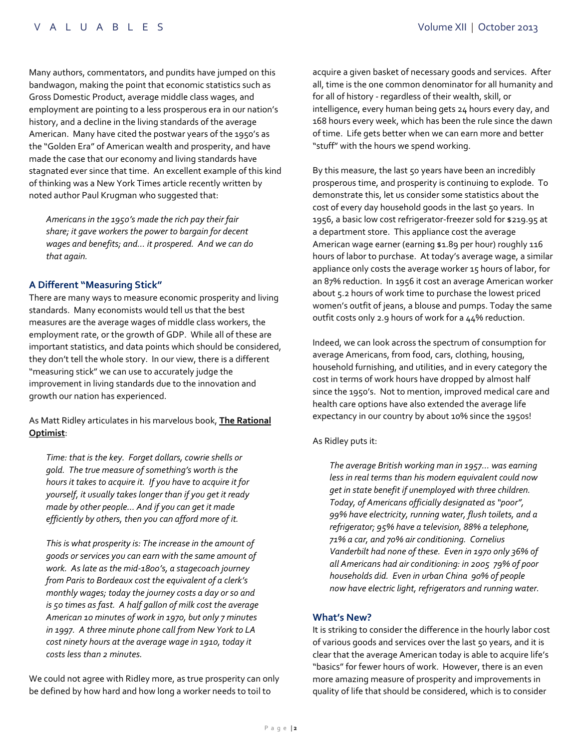Many authors, commentators, and pundits have jumped on this bandwagon, making the point that economic statistics such as Gross Domestic Product, average middle class wages, and employment are pointing to a less prosperous era in our nation's history, and a decline in the living standards of the average American. Many have cited the postwar years of the 1950's as the "Golden Era" of American wealth and prosperity, and have made the case that our economy and living standards have stagnated ever since that time. An excellent example of this kind of thinking was a New York Times article recently written by noted author Paul Krugman who suggested that:

*Americans in the 1950's made the rich pay their fair share; it gave workers the power to bargain for decent wages and benefits; and… it prospered. And we can do that again.*

### **A Different "Measuring Stick"**

There are many ways to measure economic prosperity and living standards. Many economists would tell us that the best measures are the average wages of middle class workers, the employment rate, or the growth of GDP. While all of these are important statistics, and data points which should be considered, they don't tell the whole story. In our view, there is a different "measuring stick" we can use to accurately judge the improvement in living standards due to the innovation and growth our nation has experienced.

# As Matt Ridley articulates in his marvelous book, **The Rational Optimist**:

*Time: that is the key. Forget dollars, cowrie shells or gold. The true measure of something's worth is the hours it takes to acquire it. If you have to acquire it for yourself, it usually takes longer than if you get it ready made by other people... And if you can get it made efficiently by others, then you can afford more of it.*

*This is what prosperity is: The increase in the amount of goods or services you can earn with the same amount of work. As late as the mid-1800's, a stagecoach journey from Paris to Bordeaux cost the equivalent of a clerk's monthly wages; today the journey costs a day or so and is 50 times as fast. A half gallon of milk cost the average American 10 minutes of work in 1970, but only 7 minutes in 1997. A three minute phone call from New York to LA cost ninety hours at the average wage in 1910, today it costs less than 2 minutes.* 

We could not agree with Ridley more, as true prosperity can only be defined by how hard and how long a worker needs to toil to

acquire a given basket of necessary goods and services. After all, time is the one common denominator for all humanity and for all of history - regardless of their wealth, skill, or intelligence, every human being gets 24 hours every day, and 168 hours every week, which has been the rule since the dawn of time. Life gets better when we can earn more and better "stuff" with the hours we spend working.

By this measure, the last 50 years have been an incredibly prosperous time, and prosperity is continuing to explode. To demonstrate this, let us consider some statistics about the cost of every day household goods in the last 50 years. In 1956, a basic low cost refrigerator-freezer sold for \$219.95 at a department store. This appliance cost the average American wage earner (earning \$1.89 per hour) roughly 116 hours of labor to purchase. At today's average wage, a similar appliance only costs the average worker 15 hours of labor, for an 87% reduction. In 1956 it cost an average American worker about 5.2 hours of work time to purchase the lowest priced women's outfit of jeans, a blouse and pumps. Today the same outfit costs only 2.9 hours of work for a 44% reduction.

Indeed, we can look across the spectrum of consumption for average Americans, from food, cars, clothing, housing, household furnishing, and utilities, and in every category the cost in terms of work hours have dropped by almost half since the 1950's. Not to mention, improved medical care and health care options have also extended the average life expectancy in our country by about 10% since the 1950s!

#### As Ridley puts it:

*The average British working man in 1957… was earning less in real terms than his modern equivalent could now get in state benefit if unemployed with three children. Today, of Americans officially designated as "poor", 99% have electricity, running water, flush toilets, and a refrigerator; 95% have a television, 88% a telephone, 71% a car, and 70% air conditioning. Cornelius Vanderbilt had none of these. Even in 1970 only 36% of all Americans had air conditioning: in 2005 79% of poor households did. Even in urban China 90% of people now have electric light, refrigerators and running water.* 

#### **What's New?**

It is striking to consider the difference in the hourly labor cost of various goods and services over the last 50 years, and it is clear that the average American today is able to acquire life's "basics" for fewer hours of work. However, there is an even more amazing measure of prosperity and improvements in quality of life that should be considered, which is to consider